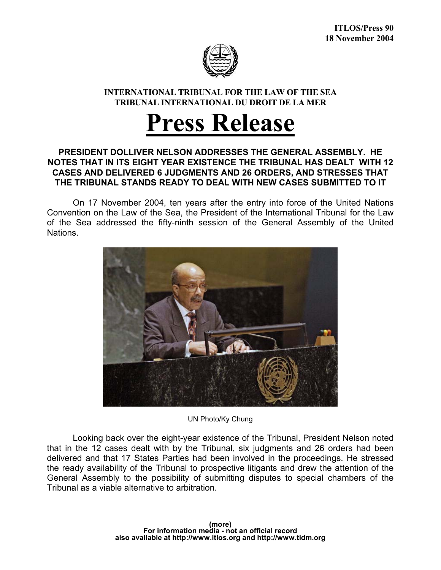

## **INTERNATIONAL TRIBUNAL FOR THE LAW OF THE SEA TRIBUNAL INTERNATIONAL DU DROIT DE LA MER**

## **Press Release**

## **PRESIDENT DOLLIVER NELSON ADDRESSES THE GENERAL ASSEMBLY. HE NOTES THAT IN ITS EIGHT YEAR EXISTENCE THE TRIBUNAL HAS DEALT WITH 12 CASES AND DELIVERED 6 JUDGMENTS AND 26 ORDERS, AND STRESSES THAT THE TRIBUNAL STANDS READY TO DEAL WITH NEW CASES SUBMITTED TO IT**

 On 17 November 2004, ten years after the entry into force of the United Nations Convention on the Law of the Sea, the President of the International Tribunal for the Law of the Sea addressed the fifty-ninth session of the General Assembly of the United Nations.



UN Photo/Ky Chung

Looking back over the eight-year existence of the Tribunal, President Nelson noted that in the 12 cases dealt with by the Tribunal, six judgments and 26 orders had been delivered and that 17 States Parties had been involved in the proceedings. He stressed the ready availability of the Tribunal to prospective litigants and drew the attention of the General Assembly to the possibility of submitting disputes to special chambers of the Tribunal as a viable alternative to arbitration.